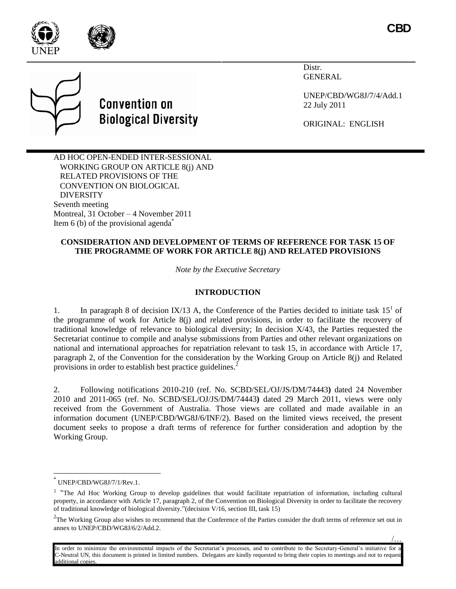



/…

Distr. **GENERAL** 

UNEP/CBD/WG8J/7/4/Add.1 22 July 2011

ORIGINAL: ENGLISH

AD HOC OPEN-ENDED INTER-SESSIONAL WORKING GROUP ON ARTICLE 8(j) AND RELATED PROVISIONS OF THE CONVENTION ON BIOLOGICAL DIVERSITY Seventh meeting Montreal, 31 October – 4 November 2011 Item 6 (b) of the provisional agenda<sup> $\ddot{\ }$ </sup>

**Convention on** 

**Biological Diversity** 

### **CONSIDERATION AND DEVELOPMENT OF TERMS OF REFERENCE FOR TASK 15 OF THE PROGRAMME OF WORK FOR ARTICLE 8(j) AND RELATED PROVISIONS**

*Note by the Executive Secretary*

# **INTRODUCTION**

1. In paragraph 8 of decision IX/13 A, the Conference of the Parties decided to initiate task  $15<sup>1</sup>$  of the programme of work for Article 8(j) and related provisions, in order to facilitate the recovery of traditional knowledge of relevance to biological diversity; In decision X/43, the Parties requested the Secretariat continue to compile and analyse submissions from Parties and other relevant organizations on national and international approaches for repatriation relevant to task 15, in accordance with Article 17, paragraph 2, of the Convention for the consideration by the Working Group on Article 8(j) and Related provisions in order to establish best practice guidelines.<sup>2</sup>

2. Following notifications 2010-210 (ref. No. SCBD/SEL/OJ/JS/DM/74443**)** dated 24 November 2010 and 2011-065 (ref. No. SCBD/SEL/OJ/JS/DM/74443**)** dated 29 March 2011, views were only received from the Government of Australia. Those views are collated and made available in an information document (UNEP/CBD/WG8J/6/INF/2). Based on the limited views received, the present document seeks to propose a draft terms of reference for further consideration and adoption by the Working Group.

 $\overline{a}$ 

In order to minimize the environmental impacts of the Secretariat's processes, and to contribute to the Secretary-General's initiative for a C-Neutral UN, this document is printed in limited numbers. Delegates are kindly requested to bring their copies to meetings and not to request additional copies.

<sup>\*</sup> UNEP/CBD/WG8J/7/1/Rev.1.

<sup>&</sup>lt;sup>1</sup> "The Ad Hoc Working Group to develop guidelines that would facilitate repatriation of information, including cultural property, in accordance with Article 17, paragraph 2, of the Convention on Biological Diversity in order to facilitate the recovery of traditional knowledge of biological diversity."(decision V/16, section III, task 15)

 $2^2$ The Working Group also wishes to recommend that the Conference of the Parties consider the draft terms of reference set out in annex to UNEP/CBD/WG8J/6/2/Add.2.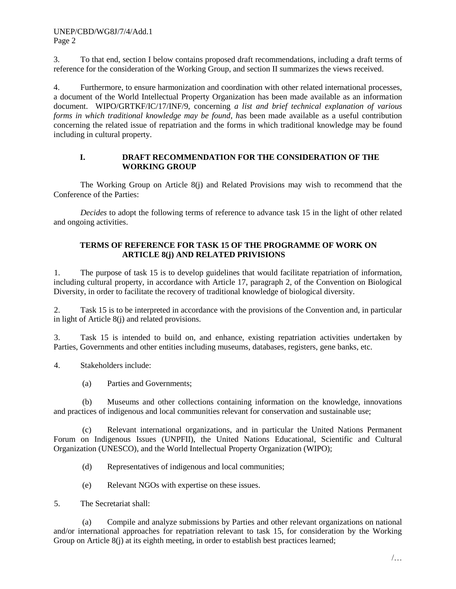3. To that end, section I below contains proposed draft recommendations, including a draft terms of reference for the consideration of the Working Group, and section II summarizes the views received.

4. Furthermore, to ensure harmonization and coordination with other related international processes, a document of the World Intellectual Property Organization has been made available as an information document. WIPO/GRTKF/IC/17/INF/9, concerning *a list and brief technical explanation of various forms in which traditional knowledge may be found, h*as been made available as a useful contribution concerning the related issue of repatriation and the forms in which traditional knowledge may be found including in cultural property.

### **I. DRAFT RECOMMENDATION FOR THE CONSIDERATION OF THE WORKING GROUP**

The Working Group on Article 8(j) and Related Provisions may wish to recommend that the Conference of the Parties:

*Decides* to adopt the following terms of reference to advance task 15 in the light of other related and ongoing activities.

# **TERMS OF REFERENCE FOR TASK 15 OF THE PROGRAMME OF WORK ON ARTICLE 8(j) AND RELATED PRIVISIONS**

1. The purpose of task 15 is to develop guidelines that would facilitate repatriation of information, including cultural property, in accordance with Article 17, paragraph 2, of the Convention on Biological Diversity, in order to facilitate the recovery of traditional knowledge of biological diversity.

2. Task 15 is to be interpreted in accordance with the provisions of the Convention and, in particular in light of Article 8(j) and related provisions.

3. Task 15 is intended to build on, and enhance, existing repatriation activities undertaken by Parties, Governments and other entities including museums, databases, registers, gene banks, etc.

4. Stakeholders include:

(a) Parties and Governments;

(b) Museums and other collections containing information on the knowledge, innovations and practices of indigenous and local communities relevant for conservation and sustainable use;

(c) Relevant international organizations, and in particular the United Nations Permanent Forum on Indigenous Issues (UNPFII), the United Nations Educational, Scientific and Cultural Organization (UNESCO), and the World Intellectual Property Organization (WIPO);

- (d) Representatives of indigenous and local communities;
- (e) Relevant NGOs with expertise on these issues.
- 5. The Secretariat shall:

(a) Compile and analyze submissions by Parties and other relevant organizations on national and/or international approaches for repatriation relevant to task 15, for consideration by the Working Group on Article  $8(i)$  at its eighth meeting, in order to establish best practices learned;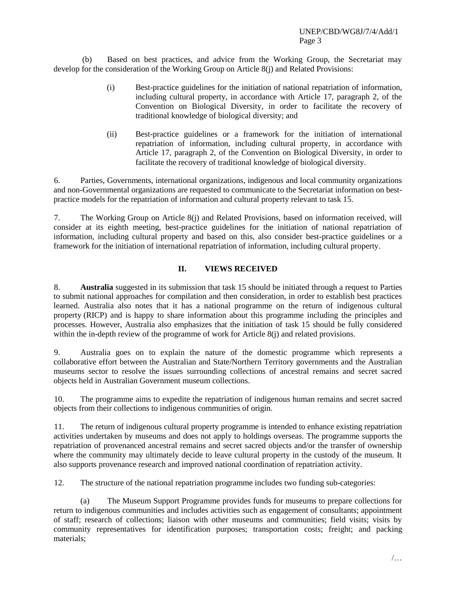(b) Based on best practices, and advice from the Working Group, the Secretariat may develop for the consideration of the Working Group on Article 8(j) and Related Provisions:

- (i) Best-practice guidelines for the initiation of national repatriation of information, including cultural property, in accordance with Article 17, paragraph 2, of the Convention on Biological Diversity, in order to facilitate the recovery of traditional knowledge of biological diversity; and
- (ii) Best-practice guidelines or a framework for the initiation of international repatriation of information, including cultural property, in accordance with Article 17, paragraph 2, of the Convention on Biological Diversity, in order to facilitate the recovery of traditional knowledge of biological diversity.

6. Parties, Governments, international organizations, indigenous and local community organizations and non-Governmental organizations are requested to communicate to the Secretariat information on bestpractice models for the repatriation of information and cultural property relevant to task 15.

7. The Working Group on Article 8(j) and Related Provisions, based on information received, will consider at its eighth meeting, best-practice guidelines for the initiation of national repatriation of information, including cultural property and based on this, also consider best-practice guidelines or a framework for the initiation of international repatriation of information, including cultural property.

# **II. VIEWS RECEIVED**

8. **Australia** suggested in its submission that task 15 should be initiated through a request to Parties to submit national approaches for compilation and then consideration, in order to establish best practices learned. Australia also notes that it has a national programme on the return of indigenous cultural property (RICP) and is happy to share information about this programme including the principles and processes. However, Australia also emphasizes that the initiation of task 15 should be fully considered within the in-depth review of the programme of work for Article 8(j) and related provisions.

9. Australia goes on to explain the nature of the domestic programme which represents a collaborative effort between the Australian and State/Northern Territory governments and the Australian museums sector to resolve the issues surrounding collections of ancestral remains and secret sacred objects held in Australian Government museum collections.

10. The programme aims to expedite the repatriation of indigenous human remains and secret sacred objects from their collections to indigenous communities of origin.

11. The return of indigenous cultural property programme is intended to enhance existing repatriation activities undertaken by museums and does not apply to holdings overseas. The programme supports the repatriation of provenanced ancestral remains and secret sacred objects and/or the transfer of ownership where the community may ultimately decide to leave cultural property in the custody of the museum. It also supports provenance research and improved national coordination of repatriation activity.

12. The structure of the national repatriation programme includes two funding sub-categories:

(a) The Museum Support Programme provides funds for museums to prepare collections for return to indigenous communities and includes activities such as engagement of consultants; appointment of staff; research of collections; liaison with other museums and communities; field visits; visits by community representatives for identification purposes; transportation costs; freight; and packing materials;